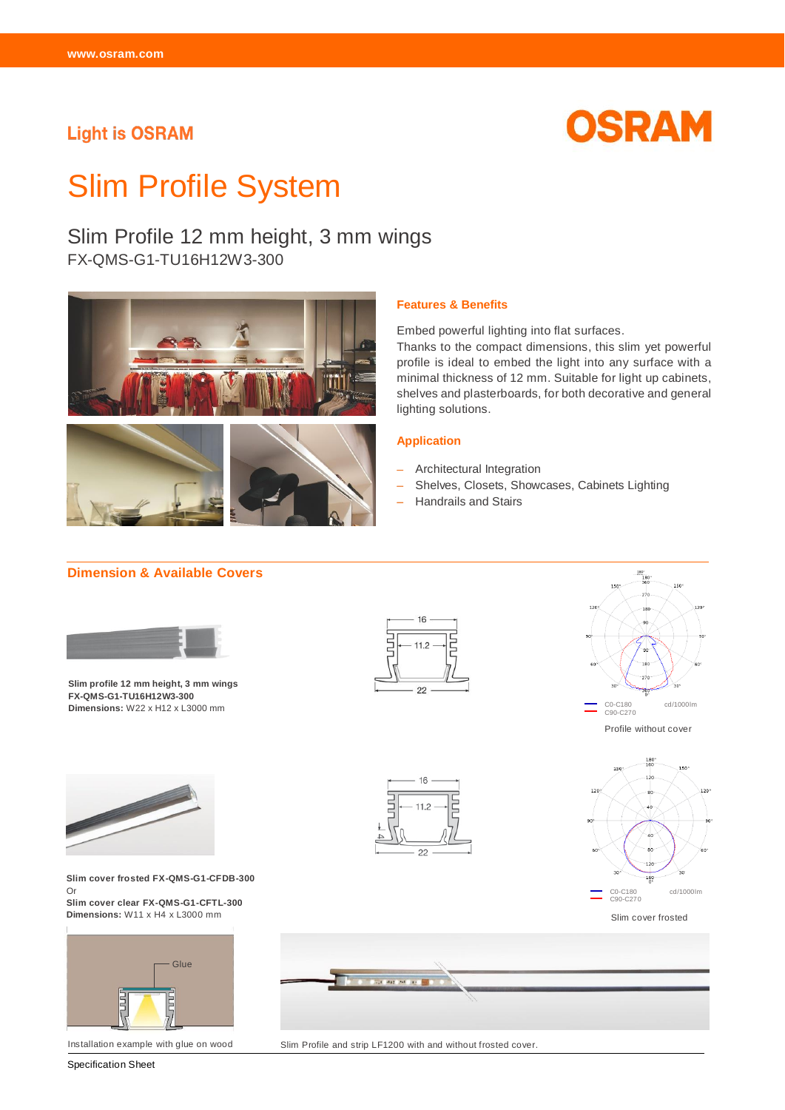# **Light is OSRAM**



# Slim Profile System

# Slim Profile 12 mm height, 3 mm wings

FX-QMS-G1-TU16H12W3-300



#### **Features & Benefits**

Embed powerful lighting into flat surfaces.

Thanks to the compact dimensions, this slim yet powerful profile is ideal to embed the light into any surface with a minimal thickness of 12 mm. Suitable for light up cabinets, shelves and plasterboards, for both decorative and general lighting solutions.

#### **Application**

- Architectural Integration
- Shelves, Closets, Showcases, Cabinets Lighting
- Handrails and Stairs

## **Dimension & Available Covers**



**Slim profile 12 mm height, 3 mm wings FX-QMS-G1-TU16H12W3-300 Dimensions:** W22 x H12 x L3000 mm







**Slim cover frosted FX-QMS-G1-CFDB-300**  Or

**Slim cover clear FX-QMS-G1-CFTL-300 Dimensions:** W11 x H4 x L3000 mm



Installation example with glue on wood

Specification Sheet





Slim cover frosted



Slim Profile and strip LF1200 with and without frosted cover.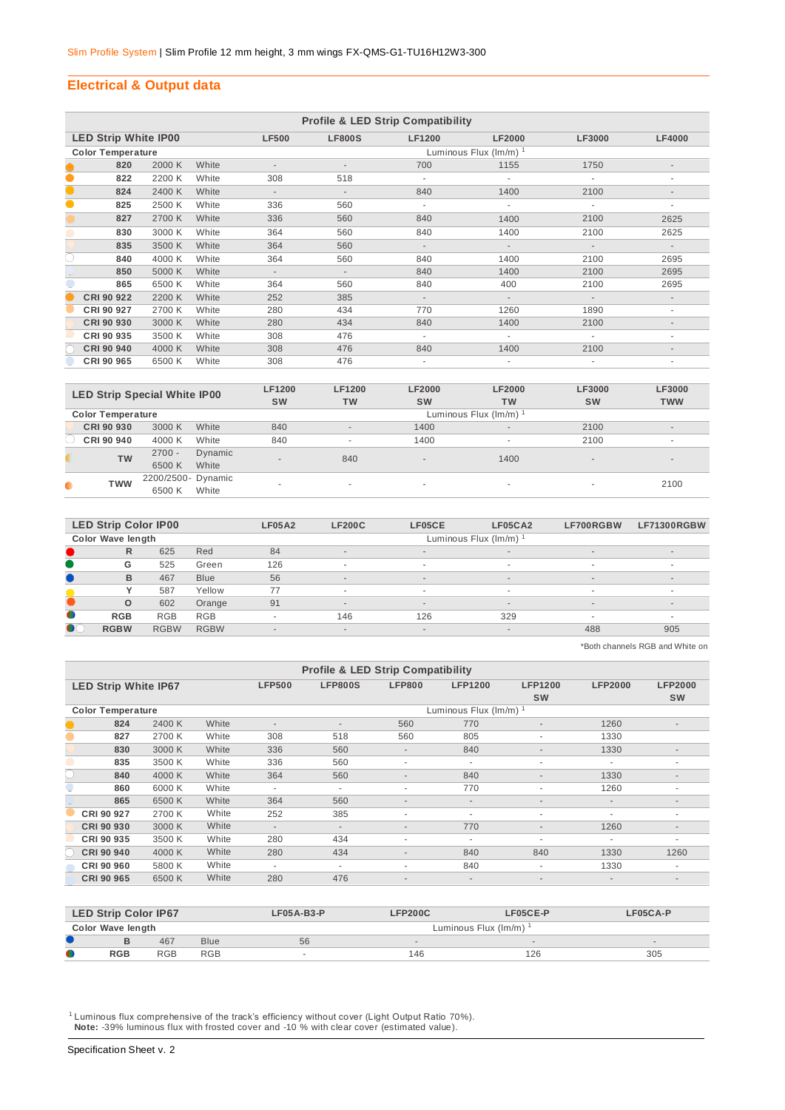#### **Electrical & Output data**

|           | <b>Profile &amp; LED Strip Compatibility</b> |        |       |                          |                             |               |               |               |                          |  |  |  |
|-----------|----------------------------------------------|--------|-------|--------------------------|-----------------------------|---------------|---------------|---------------|--------------------------|--|--|--|
|           | <b>LED Strip White IP00</b>                  |        |       | <b>LF500</b>             | <b>LF800S</b>               | <b>LF1200</b> | <b>LF2000</b> | <b>LF3000</b> | <b>LF4000</b>            |  |  |  |
|           | <b>Color Temperature</b>                     |        |       |                          | Luminous Flux $(lm/m)^{-1}$ |               |               |               |                          |  |  |  |
|           | 820                                          | 2000 K | White |                          |                             | 700           | 1155          | 1750          |                          |  |  |  |
| $\bullet$ | 822                                          | 2200 K | White | 308                      | 518                         |               |               |               | ٠                        |  |  |  |
| $\bullet$ | 824                                          | 2400 K | White | $\overline{\phantom{a}}$ | $\overline{\phantom{a}}$    | 840           | 1400          | 2100          |                          |  |  |  |
| $\bullet$ | 825                                          | 2500 K | White | 336                      | 560                         | $\sim$        | $\sim$        | ٠             | ٠                        |  |  |  |
|           | 827                                          | 2700 K | White | 336                      | 560                         | 840           | 1400          | 2100          | 2625                     |  |  |  |
|           | 830                                          | 3000 K | White | 364                      | 560                         | 840           | 1400          | 2100          | 2625                     |  |  |  |
|           | 835                                          | 3500 K | White | 364                      | 560                         | $\sim$        | $\sim$        | $\sim$        | $\sim$                   |  |  |  |
| O         | 840                                          | 4000 K | White | 364                      | 560                         | 840           | 1400          | 2100          | 2695                     |  |  |  |
|           | 850                                          | 5000 K | White | $\overline{\phantom{a}}$ | $\overline{\phantom{a}}$    | 840           | 1400          | 2100          | 2695                     |  |  |  |
|           | 865                                          | 6500 K | White | 364                      | 560                         | 840           | 400           | 2100          | 2695                     |  |  |  |
|           | CRI 90 922                                   | 2200 K | White | 252                      | 385                         | $\sim$        | $\sim$        | $\sim$        | $\overline{\phantom{a}}$ |  |  |  |
|           | CRI 90 927                                   | 2700 K | White | 280                      | 434                         | 770           | 1260          | 1890          | ٠                        |  |  |  |
|           | CRI 90 930                                   | 3000 K | White | 280                      | 434                         | 840           | 1400          | 2100          |                          |  |  |  |
|           | CRI 90 935                                   | 3500 K | White | 308                      | 476                         | ٠             |               |               | ٠                        |  |  |  |
|           | <b>CRI 90 940</b>                            | 4000 K | White | 308                      | 476                         | 840           | 1400          | 2100          | $\overline{\phantom{a}}$ |  |  |  |
|           | CRI 90 965                                   | 6500 K | White | 308                      | 476                         |               |               |               | ۰                        |  |  |  |

|                          |            | <b>LED Strip Special White IP00</b> | <b>LF1200</b><br><b>SW</b>                   | <b>LF1200</b><br><b>TW</b> | <b>LF2000</b><br><b>SW</b> | <b>LF2000</b><br>TW | LF3000<br><b>SW</b> | LF3000<br><b>TWW</b>     |  |  |  |
|--------------------------|------------|-------------------------------------|----------------------------------------------|----------------------------|----------------------------|---------------------|---------------------|--------------------------|--|--|--|
| <b>Color Temperature</b> |            |                                     |                                              | Luminous Flux (Im/m) 1     |                            |                     |                     |                          |  |  |  |
|                          | CRI 90 930 | 3000 K                              | White<br>840                                 | $\overline{a}$             | 1400                       | $\sim$              | 2100                | $\overline{\phantom{a}}$ |  |  |  |
|                          | CRI 90 940 | 4000 K                              | 840<br>White                                 | $\overline{\phantom{a}}$   | 1400                       |                     | 2100                | $\overline{\phantom{a}}$ |  |  |  |
|                          | <b>TW</b>  | $2700 -$<br>6500 K                  | Dynamic<br>$\overline{\phantom{a}}$<br>White | 840                        | $\sim$                     | 1400                | $\sim$              | $\sim$                   |  |  |  |
| $\bullet$                | <b>TWW</b> | 2200/2500- Dynamic<br>6500 K        | White                                        | $\overline{\phantom{a}}$   | $\sim$                     | ۰                   | $\sim$              | 2100                     |  |  |  |

|           | <b>LED Strip Color IP00</b> |             |             | <b>LF05A2</b>            | <b>LF200C</b>            | LF05CE                   | LF05CA2              | LF700RGBW | LF71300RGBW              |
|-----------|-----------------------------|-------------|-------------|--------------------------|--------------------------|--------------------------|----------------------|-----------|--------------------------|
|           | <b>Color Wave length</b>    |             |             |                          |                          |                          | Luminous Flux (Im/m) |           |                          |
|           | R                           | 625         | Red         | 84                       | $\overline{a}$           | $\sim$                   | $\sim$               | $\sim$    | $\overline{\phantom{a}}$ |
|           | G                           | 525         | Green       | 126                      | $\overline{\phantom{a}}$ | $\overline{\phantom{a}}$ | $\sim$               | $\sim$    | $\overline{\phantom{a}}$ |
|           | B                           | 467         | <b>Blue</b> | 56                       |                          | $\sim$                   | $\sim$               | $\sim$    | $\overline{\phantom{a}}$ |
|           |                             | 587         | Yellow      | 77                       | $\overline{\phantom{a}}$ | $\sim$                   | $\sim$               |           |                          |
|           | $\circ$                     | 602         | Orange      | 91                       | $\overline{\phantom{a}}$ | $\sim$                   | $\sim$               | $\sim$    | $\overline{a}$           |
| $\bullet$ | <b>RGB</b>                  | <b>RGB</b>  | <b>RGB</b>  | ٠                        | 146                      | 126                      | 329                  | $\sim$    |                          |
| $\bullet$ | <b>RGBW</b>                 | <b>RGBW</b> | <b>RGBW</b> | $\overline{\phantom{a}}$ | $\overline{a}$           | $\sim$                   | $\sim$               | 488       | 905                      |

\*Both channels RGB and White on

|  | <b>Profile &amp; LED Strip Compatibility</b> |        |       |                          |                      |                          |                          |                          |                          |                          |  |  |  |
|--|----------------------------------------------|--------|-------|--------------------------|----------------------|--------------------------|--------------------------|--------------------------|--------------------------|--------------------------|--|--|--|
|  | <b>LED Strip White IP67</b>                  |        |       | <b>LFP500</b>            | <b>LFP800S</b>       | <b>LFP800</b>            | <b>LFP1200</b>           | <b>LFP1200</b>           | <b>LFP2000</b>           | <b>LFP2000</b>           |  |  |  |
|  |                                              |        |       |                          |                      |                          |                          | <b>SW</b>                |                          | <b>SW</b>                |  |  |  |
|  | <b>Color Temperature</b>                     |        |       |                          | Luminous Flux (Im/m) |                          |                          |                          |                          |                          |  |  |  |
|  | 824                                          | 2400 K | White | $\overline{\phantom{a}}$ | ٠                    | 560                      | 770                      | $\overline{\phantom{a}}$ | 1260                     | $\overline{\phantom{a}}$ |  |  |  |
|  | 827                                          | 2700 K | White | 308                      | 518                  | 560                      | 805                      | $\overline{\phantom{a}}$ | 1330                     |                          |  |  |  |
|  | 830                                          | 3000 K | White | 336                      | 560                  | $\overline{\phantom{a}}$ | 840                      | $\overline{\phantom{a}}$ | 1330                     | $\overline{\phantom{a}}$ |  |  |  |
|  | 835                                          | 3500 K | White | 336                      | 560                  | $\overline{\phantom{a}}$ | $\overline{\phantom{a}}$ | $\overline{\phantom{a}}$ |                          |                          |  |  |  |
|  | 840                                          | 4000 K | White | 364                      | 560                  | $\overline{\phantom{a}}$ | 840                      | $\overline{\phantom{a}}$ | 1330                     |                          |  |  |  |
|  | 860                                          | 6000 K | White | $\overline{\phantom{a}}$ | ٠                    | $\overline{\phantom{a}}$ | 770                      | ٠                        | 1260                     |                          |  |  |  |
|  | 865                                          | 6500 K | White | 364                      | 560                  | $\overline{a}$           | $\overline{\phantom{a}}$ | $\overline{a}$           | $\overline{\phantom{a}}$ | $\overline{a}$           |  |  |  |
|  | CRI 90 927                                   | 2700 K | White | 252                      | 385                  | $\overline{\phantom{a}}$ | $\overline{\phantom{a}}$ | $\overline{\phantom{a}}$ | ٠                        | $\overline{\phantom{a}}$ |  |  |  |
|  | CRI 90 930                                   | 3000 K | White | $\sim$                   | ٠                    | $\overline{\phantom{a}}$ | 770                      | $\overline{\phantom{a}}$ | 1260                     | $\overline{a}$           |  |  |  |
|  | CRI 90 935                                   | 3500 K | White | 280                      | 434                  | $\overline{\phantom{a}}$ | $\overline{\phantom{a}}$ | $\overline{\phantom{a}}$ |                          | $\overline{\phantom{a}}$ |  |  |  |
|  | <b>CRI 90 940</b>                            | 4000 K | White | 280                      | 434                  | $\overline{\phantom{a}}$ | 840                      | 840                      | 1330                     | 1260                     |  |  |  |
|  | CRI 90 960                                   | 5800 K | White | ٠                        | ٠                    | $\overline{\phantom{a}}$ | 840                      | $\overline{\phantom{a}}$ | 1330                     |                          |  |  |  |
|  | CRI 90 965                                   | 6500 K | White | 280                      | 476                  | $\overline{\phantom{a}}$ | $\overline{\phantom{a}}$ | $\overline{\phantom{a}}$ | $\overline{\phantom{a}}$ | $\overline{\phantom{a}}$ |  |  |  |

|           | <b>LED Strip Color IP67</b> |            |            | $LFO5A-B3-P$ | <b>LFP200C</b>                               | LF05CE-P | LF05CA-P                 |  |  |  |  |
|-----------|-----------------------------|------------|------------|--------------|----------------------------------------------|----------|--------------------------|--|--|--|--|
|           | Color Wave length           |            |            |              | Luminous Flux ( $\text{Im/m}$ ) <sup>1</sup> |          |                          |  |  |  |  |
|           |                             | 467        | Blue       | 56           |                                              | $\sim$   | $\overline{\phantom{a}}$ |  |  |  |  |
| $\bullet$ | <b>RGB</b>                  | <b>RGB</b> | <b>RGB</b> | $\sim$       | 146                                          | 126      | 305                      |  |  |  |  |

<sup>1</sup> Luminous flux comprehensive of the track's efficiency without cover (Light Output Ratio 70%).  **Note:** -39% luminous flux with frosted cover and -10 % with clear cover (estimated value).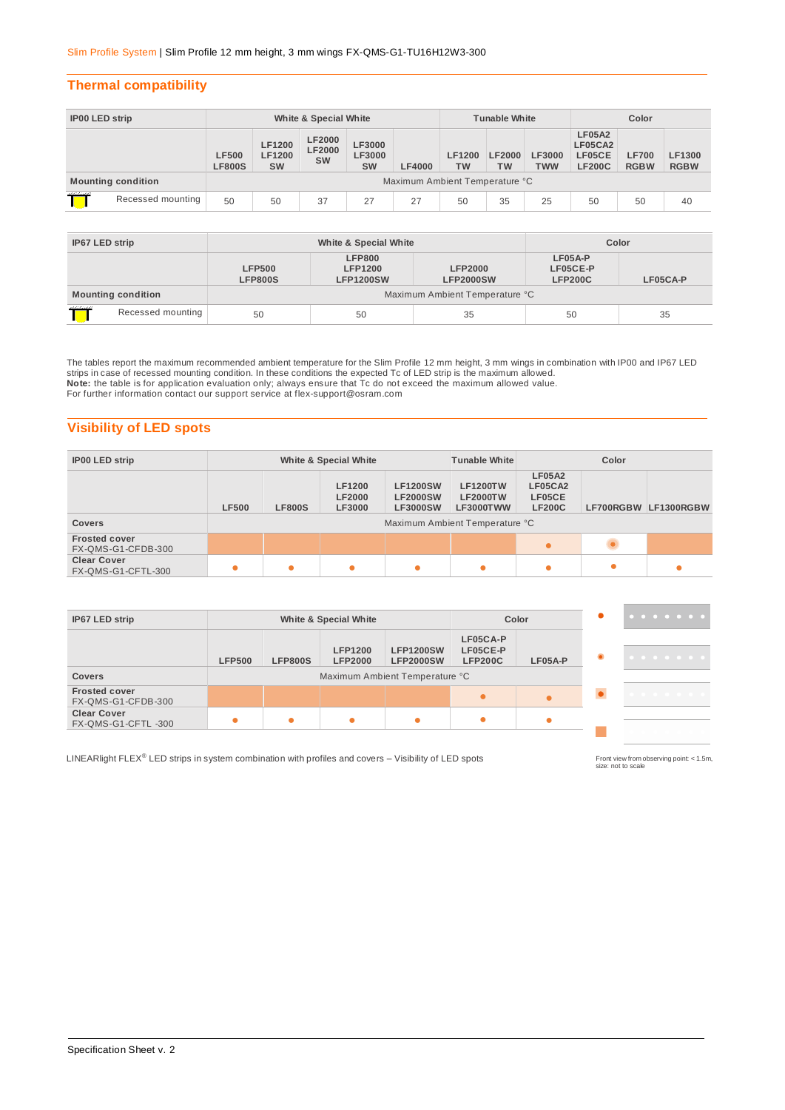#### **Thermal compatibility**

| <b>IP00 LED strip</b>     |                   | White & Special White          |                               |                                             |                                             |               | <b>Tunable White</b>       |                            |                             | Color                                               |                             |                              |
|---------------------------|-------------------|--------------------------------|-------------------------------|---------------------------------------------|---------------------------------------------|---------------|----------------------------|----------------------------|-----------------------------|-----------------------------------------------------|-----------------------------|------------------------------|
|                           |                   | <b>LF500</b><br><b>LF800S</b>  | LF1200<br>LF1200<br><b>SW</b> | <b>LF2000</b><br><b>LF2000</b><br><b>SW</b> | <b>LF3000</b><br><b>LF3000</b><br><b>SW</b> | <b>LF4000</b> | <b>LF1200</b><br><b>TW</b> | <b>LF2000</b><br><b>TW</b> | <b>LF3000</b><br><b>TWW</b> | <b>LF05A2</b><br>LF05CA2<br>LF05CE<br><b>LF200C</b> | <b>LF700</b><br><b>RGBW</b> | <b>LF1300</b><br><b>RGBW</b> |
| <b>Mounting condition</b> |                   | Maximum Ambient Temperature °C |                               |                                             |                                             |               |                            |                            |                             |                                                     |                             |                              |
| ,,,,,,,,,                 | Recessed mounting | 50                             | 50                            | 37                                          | 27                                          | 27            | 50                         | 35                         | 25                          | 50                                                  | 50                          | 40                           |

| IP67 LED strip                  |  |                                 | White & Special White                               | Color                              |                                       |    |  |  |  |
|---------------------------------|--|---------------------------------|-----------------------------------------------------|------------------------------------|---------------------------------------|----|--|--|--|
|                                 |  | <b>LFP500</b><br><b>LFP800S</b> | <b>LFP800</b><br><b>LFP1200</b><br><b>LFP1200SW</b> | <b>LFP2000</b><br><b>LFP2000SW</b> | LF05A-P<br>LF05CE-P<br><b>LFP200C</b> |    |  |  |  |
| <b>Mounting condition</b>       |  | Maximum Ambient Temperature °C  |                                                     |                                    |                                       |    |  |  |  |
| ,,,,,,,,,,<br>Recessed mounting |  | 50<br>50                        |                                                     | 35                                 | 50                                    | 35 |  |  |  |

The tables report the maximum recommended ambient temperature for the Slim Profile 12 mm height, 3 mm wings in combination with IP00 and IP67 LED<br>strips in case of recessed mounting condition. In these conditions the expec **Note:** the table is for application evaluation only; always ensure that Tc do not exceed the maximum allowed value. For further information contact our support service at [flex-support@osram.com](mailto:flex-support@osram.com) 

### **Visibility of LED spots**

| <b>IP00 LED strip</b>                      | White & Special White                                                                                                                     |  |   |  | <b>Tunable White</b>                                                              | Color                                               |  |                      |
|--------------------------------------------|-------------------------------------------------------------------------------------------------------------------------------------------|--|---|--|-----------------------------------------------------------------------------------|-----------------------------------------------------|--|----------------------|
| <b>Covers</b>                              | <b>LF1200</b><br><b>LF1200SW</b><br><b>LF2000</b><br><b>LF2000SW</b><br><b>LF500</b><br><b>LF800S</b><br><b>LF3000SW</b><br><b>LF3000</b> |  |   |  | <b>LF1200TW</b><br><b>LF2000TW</b><br>LF3000TWW<br>Maximum Ambient Temperature °C | <b>LF05A2</b><br>LF05CA2<br>LF05CE<br><b>LF200C</b> |  | LF700RGBW LF1300RGBW |
| <b>Frosted cover</b><br>FX-QMS-G1-CFDB-300 |                                                                                                                                           |  |   |  |                                                                                   | $\bullet$                                           |  |                      |
| <b>Clear Cover</b><br>FX-QMS-G1-CFTL-300   |                                                                                                                                           |  | ٠ |  | 0                                                                                 | ٠                                                   |  |                      |

| IP67 LED strip                           | <b>White &amp; Special White</b>                                                                                                              |  |  |                                        | Color   | . |   |
|------------------------------------------|-----------------------------------------------------------------------------------------------------------------------------------------------|--|--|----------------------------------------|---------|---|---|
| <b>Covers</b>                            | <b>LFP1200</b><br><b>LFP1200SW</b><br><b>LFP800S</b><br><b>LFP2000SW</b><br><b>LFP500</b><br><b>LFP2000</b><br>Maximum Ambient Temperature °C |  |  | LF05CA-P<br>LF05CE-P<br><b>LFP200C</b> | LF05A-P | . |   |
| <b>Frosted cover</b>                     |                                                                                                                                               |  |  |                                        |         |   |   |
| FX-QMS-G1-CFDB-300                       |                                                                                                                                               |  |  |                                        |         |   | . |
| <b>Clear Cover</b><br>FX-QMS-G1-CFTL-300 |                                                                                                                                               |  |  | ٠                                      |         |   |   |

LINEARlight FLEX<sup>®</sup> LED strips in system combination with profiles and covers – Visibility of LED spots

Front view from observing point: < 1.5m, size: not to scale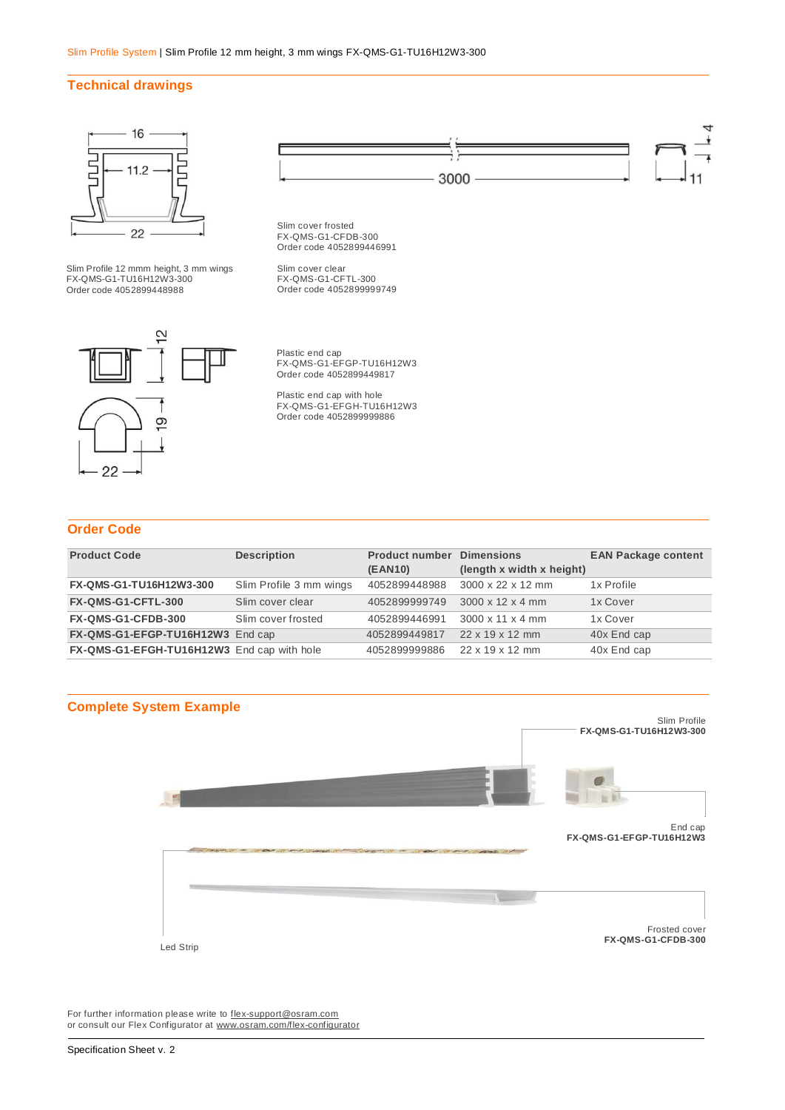#### **Technical drawings**



#### **Order Code**

| <b>Product Code</b>                        | <b>Description</b>      | <b>Product number</b> | <b>Dimensions</b>            | <b>EAN Package content</b> |
|--------------------------------------------|-------------------------|-----------------------|------------------------------|----------------------------|
|                                            |                         |                       |                              |                            |
|                                            |                         | (EAN10)               | (length x width x height)    |                            |
| FX-QMS-G1-TU16H12W3-300                    | Slim Profile 3 mm wings | 4052899448988         | 3000 x 22 x 12 mm            | 1x Profile                 |
|                                            |                         |                       |                              |                            |
| FX-QMS-G1-CFTL-300                         | Slim cover clear        | 4052899999749         | $3000 \times 12 \times 4$ mm | 1x Cover                   |
|                                            |                         |                       |                              |                            |
| FX-QMS-G1-CFDB-300                         | Slim cover frosted      | 4052899446991         | $3000 \times 11 \times 4$ mm | 1x Cover                   |
|                                            |                         |                       |                              |                            |
| FX-QMS-G1-EFGP-TU16H12W3 End cap           |                         | 4052899449817         | 22 x 19 x 12 mm              | 40x End cap                |
|                                            |                         |                       |                              |                            |
| FX-QMS-G1-EFGH-TU16H12W3 End cap with hole |                         | 4052899999886         | 22 x 19 x 12 mm              | 40x End cap                |
|                                            |                         |                       |                              |                            |



For further information please write to **flex-support@osram.com** or consult our Flex Configurator at [www.osram.com/flex-configurator](http://www.osram.com/flex-configurator)